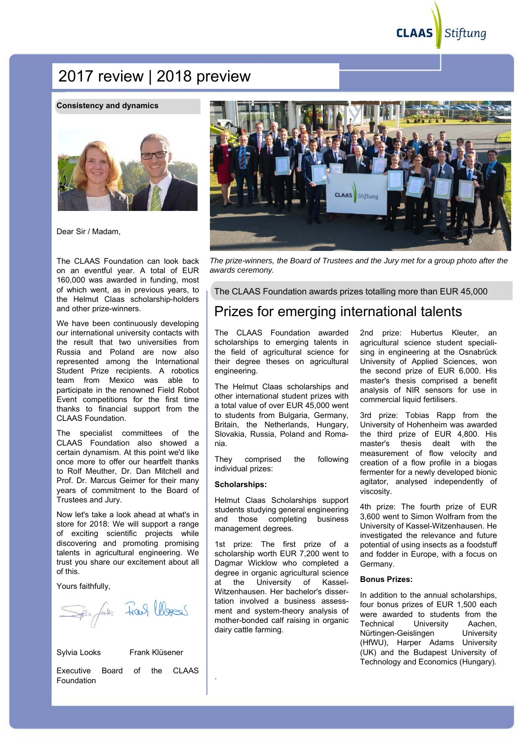**CLAAS** Stiftung

# 2017 review | 2018 preview

#### **Consistency and dynamics**



Dear Sir / Madam,

The CLAAS Foundation can look back on an eventful year. A total of EUR 160,000 was awarded in funding, most of which went, as in previous years, to the Helmut Claas scholarship-holders and other prize-winners.

We have been continuously developing our international university contacts with the result that two universities from Russia and Poland are now also represented among the International Student Prize recipients. A robotics team from Mexico was able to participate in the renowned Field Robot Event competitions for the first time thanks to financial support from the CLAAS Foundation.

The specialist committees of the CLAAS Foundation also showed a certain dynamism. At this point we'd like once more to offer our heartfelt thanks to Rolf Meuther, Dr. Dan Mitchell and Prof. Dr. Marcus Geimer for their many years of commitment to the Board of Trustees and Jury.

Now let's take a look ahead at what's in store for 2018: We will support a range of exciting scientific projects while discovering and promoting promising talents in agricultural engineering. We trust you share our excitement about all of this.

Yours faithfully,

Span fals Frank Words

Sylvia Looks Frank Klüsener

Executive Board of the CLAAS Foundation

**CLAAS** Stiftung

*The prize-winners, the Board of Trustees and the Jury met for a group photo after the awards ceremony.* 

The CLAAS Foundation awards prizes totalling more than EUR 45,000

# Prizes for emerging international talents

The CLAAS Foundation awarded scholarships to emerging talents in the field of agricultural science for their degree theses on agricultural engineering.

The Helmut Claas scholarships and other international student prizes with a total value of over EUR 45,000 went to students from Bulgaria, Germany, Britain, the Netherlands, Hungary, Slovakia, Russia, Poland and Romania.

They comprised the following individual prizes:

#### **Scholarships:**

.

Helmut Claas Scholarships support students studying general engineering and those completing business management degrees.

1st prize: The first prize of a scholarship worth EUR 7,200 went to Dagmar Wicklow who completed a degree in organic agricultural science at the University of Kassel-Witzenhausen. Her bachelor's dissertation involved a business assessment and system-theory analysis of mother-bonded calf raising in organic dairy cattle farming.

2nd prize: Hubertus Kleuter, an agricultural science student specialising in engineering at the Osnabrück University of Applied Sciences, won the second prize of EUR 6,000. His master's thesis comprised a benefit analysis of NIR sensors for use in commercial liquid fertilisers.

3rd prize: Tobias Rapp from the University of Hohenheim was awarded the third prize of EUR 4,800. His master's thesis dealt with the measurement of flow velocity and creation of a flow profile in a biogas fermenter for a newly developed bionic agitator, analysed independently of viscosity.

4th prize: The fourth prize of EUR 3,600 went to Simon Wolfram from the University of Kassel-Witzenhausen. He investigated the relevance and future potential of using insects as a foodstuff and fodder in Europe, with a focus on Germany.

#### **Bonus Prizes:**

In addition to the annual scholarships, four bonus prizes of EUR 1,500 each were awarded to students from the Technical University Aachen, Nürtingen-Geislingen University (HfWU), Harper Adams University (UK) and the Budapest University of Technology and Economics (Hungary).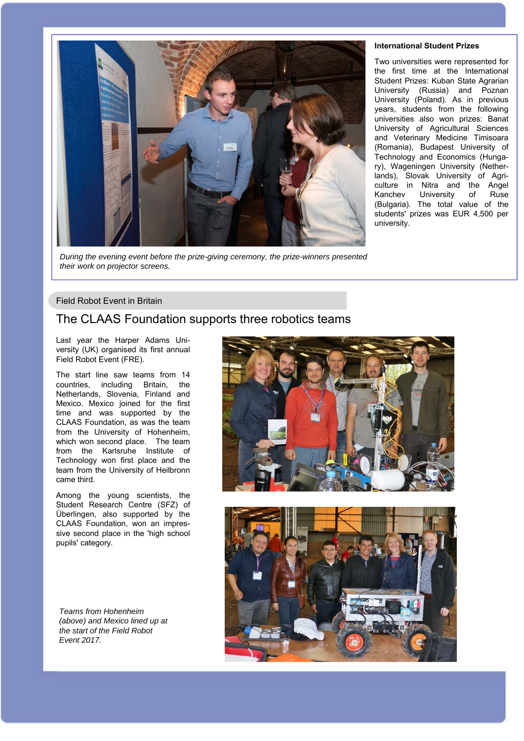

*During the evening event before the prize-giving ceremony, the prize-winners presented their work on projector screens.*

#### **International Student Prizes**

Two universities were represented for the first time at the International Student Prizes: Kuban State Agrarian University (Russia) and Poznan University (Poland). As in previous years, students from the following universities also won prizes: Banat University of Agricultural Sciences and Veterinary Medicine Timisoara (Romania), Budapest University of Technology and Economics (Hungary), Wageningen University (Netherlands), Slovak University of Agriculture in Nitra and the Angel Kanchev University of Ruse (Bulgaria). The total value of the students' prizes was EUR 4,500 per university.

#### Field Robot Event in Britain

### The CLAAS Foundation supports three robotics teams

Last year the Harper Adams University (UK) organised its first annual Field Robot Event (FRE).

The start line saw teams from 14 countries, including Britain, the Netherlands, Slovenia, Finland and Mexico. Mexico joined for the first time and was supported by the CLAAS Foundation, as was the team from the University of Hohenheim, which won second place. The team from the Karlsruhe Institute of Technology won first place and the team from the University of Heilbronn came third.

Among the young scientists, the Student Research Centre (SFZ) of Überlingen, also supported by the CLAAS Foundation, won an impressive second place in the 'high school pupils' category.

*Teams from Hohenheim (above) and Mexico lined up at the start of the Field Robot Event 2017.*